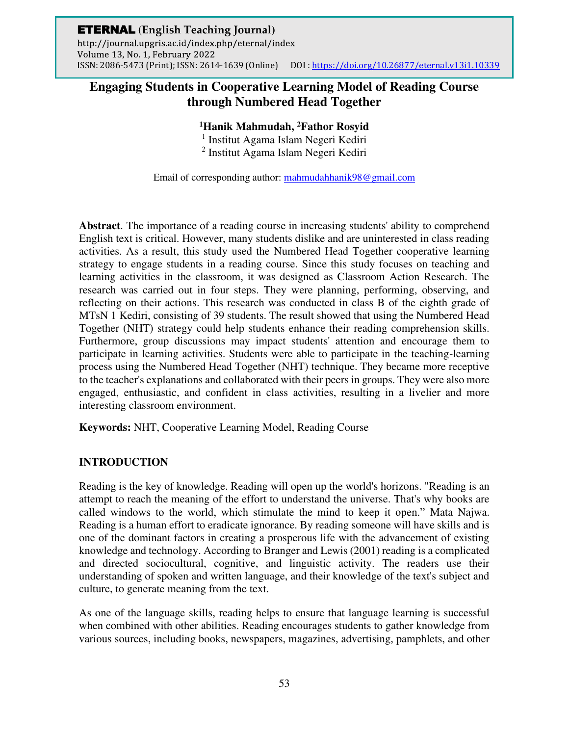# **Engaging Students in Cooperative Learning Model of Reading Course through Numbered Head Together**

# **<sup>1</sup>Hanik Mahmudah, <sup>2</sup>Fathor Rosyid**

1 Institut Agama Islam Negeri Kediri 2 Institut Agama Islam Negeri Kediri

Email of corresponding author: [mahmudahhanik98@gmail.com](mailto:mahmudahhanik98@gmail.com)

**Abstract**. The importance of a reading course in increasing students' ability to comprehend English text is critical. However, many students dislike and are uninterested in class reading activities. As a result, this study used the Numbered Head Together cooperative learning strategy to engage students in a reading course. Since this study focuses on teaching and learning activities in the classroom, it was designed as Classroom Action Research. The research was carried out in four steps. They were planning, performing, observing, and reflecting on their actions. This research was conducted in class B of the eighth grade of MTsN 1 Kediri, consisting of 39 students. The result showed that using the Numbered Head Together (NHT) strategy could help students enhance their reading comprehension skills. Furthermore, group discussions may impact students' attention and encourage them to participate in learning activities. Students were able to participate in the teaching-learning process using the Numbered Head Together (NHT) technique. They became more receptive to the teacher's explanations and collaborated with their peers in groups. They were also more engaged, enthusiastic, and confident in class activities, resulting in a livelier and more interesting classroom environment.

**Keywords:** NHT, Cooperative Learning Model, Reading Course

# **INTRODUCTION**

Reading is the key of knowledge. Reading will open up the world's horizons. "Reading is an attempt to reach the meaning of the effort to understand the universe. That's why books are called windows to the world, which stimulate the mind to keep it open." Mata Najwa. Reading is a human effort to eradicate ignorance. By reading someone will have skills and is one of the dominant factors in creating a prosperous life with the advancement of existing knowledge and technology. According to Branger and Lewis (2001) reading is a complicated and directed sociocultural, cognitive, and linguistic activity. The readers use their understanding of spoken and written language, and their knowledge of the text's subject and culture, to generate meaning from the text.

As one of the language skills, reading helps to ensure that language learning is successful when combined with other abilities. Reading encourages students to gather knowledge from various sources, including books, newspapers, magazines, advertising, pamphlets, and other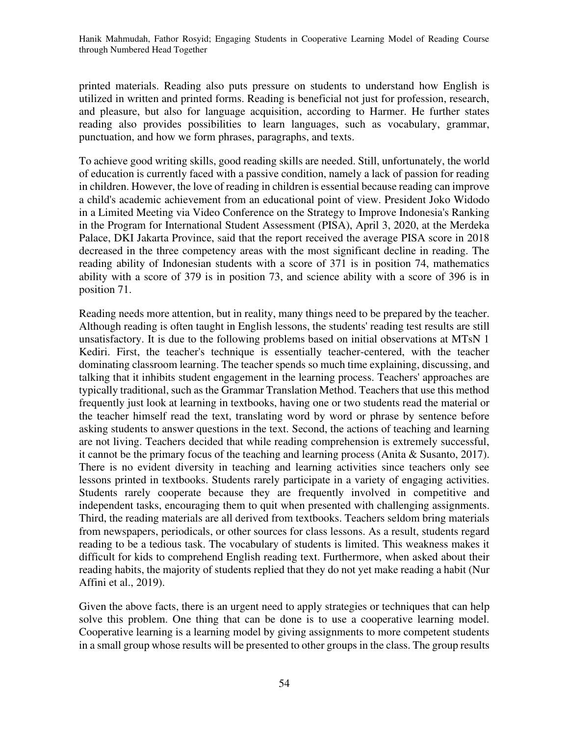printed materials. Reading also puts pressure on students to understand how English is utilized in written and printed forms. Reading is beneficial not just for profession, research, and pleasure, but also for language acquisition, according to Harmer. He further states reading also provides possibilities to learn languages, such as vocabulary, grammar, punctuation, and how we form phrases, paragraphs, and texts.

To achieve good writing skills, good reading skills are needed. Still, unfortunately, the world of education is currently faced with a passive condition, namely a lack of passion for reading in children. However, the love of reading in children is essential because reading can improve a child's academic achievement from an educational point of view. President Joko Widodo in a Limited Meeting via Video Conference on the Strategy to Improve Indonesia's Ranking in the Program for International Student Assessment (PISA), April 3, 2020, at the Merdeka Palace, DKI Jakarta Province, said that the report received the average PISA score in 2018 decreased in the three competency areas with the most significant decline in reading. The reading ability of Indonesian students with a score of 371 is in position 74, mathematics ability with a score of 379 is in position 73, and science ability with a score of 396 is in position 71.

Reading needs more attention, but in reality, many things need to be prepared by the teacher. Although reading is often taught in English lessons, the students' reading test results are still unsatisfactory. It is due to the following problems based on initial observations at MTsN 1 Kediri. First, the teacher's technique is essentially teacher-centered, with the teacher dominating classroom learning. The teacher spends so much time explaining, discussing, and talking that it inhibits student engagement in the learning process. Teachers' approaches are typically traditional, such as the Grammar Translation Method. Teachers that use this method frequently just look at learning in textbooks, having one or two students read the material or the teacher himself read the text, translating word by word or phrase by sentence before asking students to answer questions in the text. Second, the actions of teaching and learning are not living. Teachers decided that while reading comprehension is extremely successful, it cannot be the primary focus of the teaching and learning process (Anita & Susanto, 2017). There is no evident diversity in teaching and learning activities since teachers only see lessons printed in textbooks. Students rarely participate in a variety of engaging activities. Students rarely cooperate because they are frequently involved in competitive and independent tasks, encouraging them to quit when presented with challenging assignments. Third, the reading materials are all derived from textbooks. Teachers seldom bring materials from newspapers, periodicals, or other sources for class lessons. As a result, students regard reading to be a tedious task. The vocabulary of students is limited. This weakness makes it difficult for kids to comprehend English reading text. Furthermore, when asked about their reading habits, the majority of students replied that they do not yet make reading a habit (Nur Affini et al., 2019).

Given the above facts, there is an urgent need to apply strategies or techniques that can help solve this problem. One thing that can be done is to use a cooperative learning model. Cooperative learning is a learning model by giving assignments to more competent students in a small group whose results will be presented to other groups in the class. The group results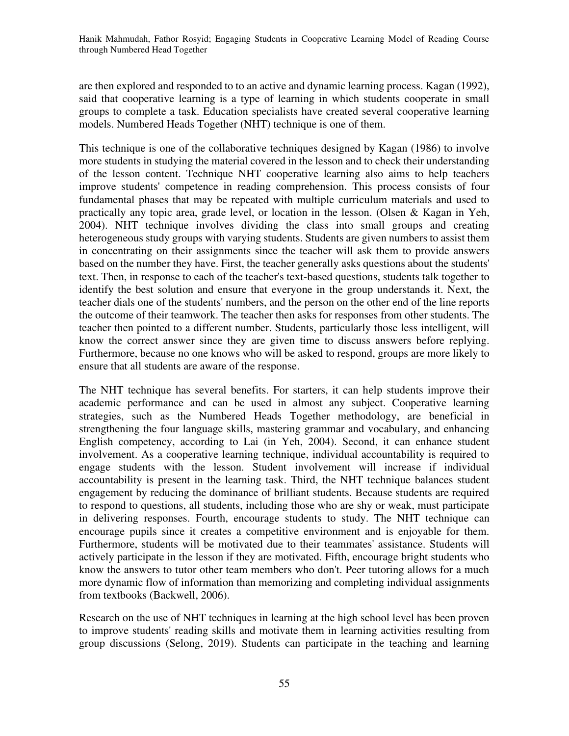are then explored and responded to to an active and dynamic learning process. Kagan (1992), said that cooperative learning is a type of learning in which students cooperate in small groups to complete a task. Education specialists have created several cooperative learning models. Numbered Heads Together (NHT) technique is one of them.

This technique is one of the collaborative techniques designed by Kagan (1986) to involve more students in studying the material covered in the lesson and to check their understanding of the lesson content. Technique NHT cooperative learning also aims to help teachers improve students' competence in reading comprehension. This process consists of four fundamental phases that may be repeated with multiple curriculum materials and used to practically any topic area, grade level, or location in the lesson. (Olsen & Kagan in Yeh, 2004). NHT technique involves dividing the class into small groups and creating heterogeneous study groups with varying students. Students are given numbers to assist them in concentrating on their assignments since the teacher will ask them to provide answers based on the number they have. First, the teacher generally asks questions about the students' text. Then, in response to each of the teacher's text-based questions, students talk together to identify the best solution and ensure that everyone in the group understands it. Next, the teacher dials one of the students' numbers, and the person on the other end of the line reports the outcome of their teamwork. The teacher then asks for responses from other students. The teacher then pointed to a different number. Students, particularly those less intelligent, will know the correct answer since they are given time to discuss answers before replying. Furthermore, because no one knows who will be asked to respond, groups are more likely to ensure that all students are aware of the response.

The NHT technique has several benefits. For starters, it can help students improve their academic performance and can be used in almost any subject. Cooperative learning strategies, such as the Numbered Heads Together methodology, are beneficial in strengthening the four language skills, mastering grammar and vocabulary, and enhancing English competency, according to Lai (in Yeh, 2004). Second, it can enhance student involvement. As a cooperative learning technique, individual accountability is required to engage students with the lesson. Student involvement will increase if individual accountability is present in the learning task. Third, the NHT technique balances student engagement by reducing the dominance of brilliant students. Because students are required to respond to questions, all students, including those who are shy or weak, must participate in delivering responses. Fourth, encourage students to study. The NHT technique can encourage pupils since it creates a competitive environment and is enjoyable for them. Furthermore, students will be motivated due to their teammates' assistance. Students will actively participate in the lesson if they are motivated. Fifth, encourage bright students who know the answers to tutor other team members who don't. Peer tutoring allows for a much more dynamic flow of information than memorizing and completing individual assignments from textbooks (Backwell, 2006).

Research on the use of NHT techniques in learning at the high school level has been proven to improve students' reading skills and motivate them in learning activities resulting from group discussions (Selong, 2019). Students can participate in the teaching and learning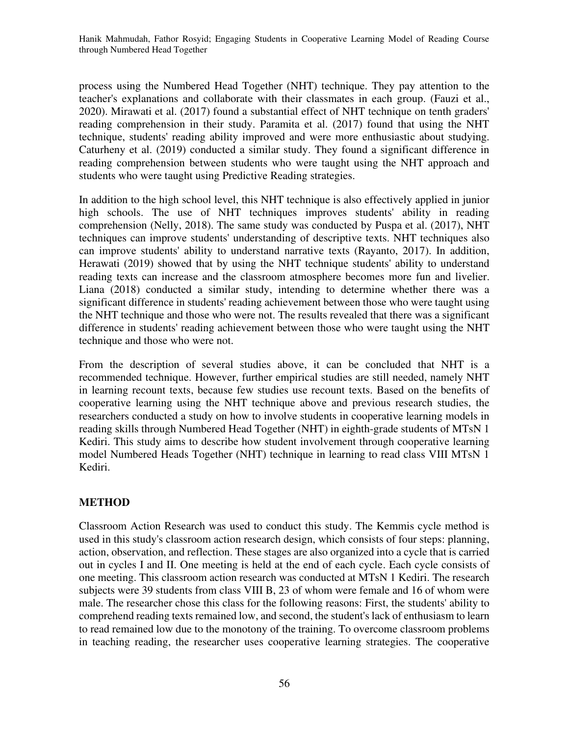process using the Numbered Head Together (NHT) technique. They pay attention to the teacher's explanations and collaborate with their classmates in each group. (Fauzi et al., 2020). Mirawati et al. (2017) found a substantial effect of NHT technique on tenth graders' reading comprehension in their study. Paramita et al. (2017) found that using the NHT technique, students' reading ability improved and were more enthusiastic about studying. Caturheny et al. (2019) conducted a similar study. They found a significant difference in reading comprehension between students who were taught using the NHT approach and students who were taught using Predictive Reading strategies.

In addition to the high school level, this NHT technique is also effectively applied in junior high schools. The use of NHT techniques improves students' ability in reading comprehension (Nelly, 2018). The same study was conducted by Puspa et al. (2017), NHT techniques can improve students' understanding of descriptive texts. NHT techniques also can improve students' ability to understand narrative texts (Rayanto, 2017). In addition, Herawati (2019) showed that by using the NHT technique students' ability to understand reading texts can increase and the classroom atmosphere becomes more fun and livelier. Liana (2018) conducted a similar study, intending to determine whether there was a significant difference in students' reading achievement between those who were taught using the NHT technique and those who were not. The results revealed that there was a significant difference in students' reading achievement between those who were taught using the NHT technique and those who were not.

From the description of several studies above, it can be concluded that NHT is a recommended technique. However, further empirical studies are still needed, namely NHT in learning recount texts, because few studies use recount texts. Based on the benefits of cooperative learning using the NHT technique above and previous research studies, the researchers conducted a study on how to involve students in cooperative learning models in reading skills through Numbered Head Together (NHT) in eighth-grade students of MTsN 1 Kediri. This study aims to describe how student involvement through cooperative learning model Numbered Heads Together (NHT) technique in learning to read class VIII MTsN 1 Kediri.

### **METHOD**

Classroom Action Research was used to conduct this study. The Kemmis cycle method is used in this study's classroom action research design, which consists of four steps: planning, action, observation, and reflection. These stages are also organized into a cycle that is carried out in cycles I and II. One meeting is held at the end of each cycle. Each cycle consists of one meeting. This classroom action research was conducted at MTsN 1 Kediri. The research subjects were 39 students from class VIII B, 23 of whom were female and 16 of whom were male. The researcher chose this class for the following reasons: First, the students' ability to comprehend reading texts remained low, and second, the student's lack of enthusiasm to learn to read remained low due to the monotony of the training. To overcome classroom problems in teaching reading, the researcher uses cooperative learning strategies. The cooperative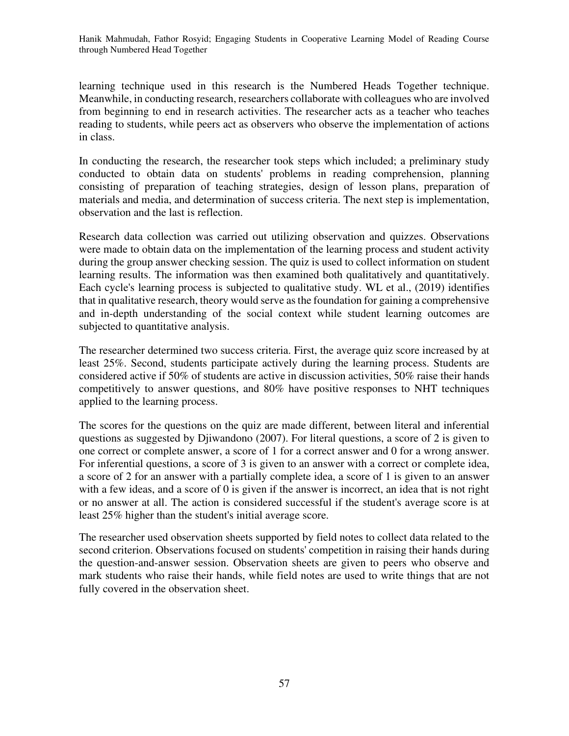learning technique used in this research is the Numbered Heads Together technique. Meanwhile, in conducting research, researchers collaborate with colleagues who are involved from beginning to end in research activities. The researcher acts as a teacher who teaches reading to students, while peers act as observers who observe the implementation of actions in class.

In conducting the research, the researcher took steps which included; a preliminary study conducted to obtain data on students' problems in reading comprehension, planning consisting of preparation of teaching strategies, design of lesson plans, preparation of materials and media, and determination of success criteria. The next step is implementation, observation and the last is reflection.

Research data collection was carried out utilizing observation and quizzes. Observations were made to obtain data on the implementation of the learning process and student activity during the group answer checking session. The quiz is used to collect information on student learning results. The information was then examined both qualitatively and quantitatively. Each cycle's learning process is subjected to qualitative study. WL et al., (2019) identifies that in qualitative research, theory would serve as the foundation for gaining a comprehensive and in-depth understanding of the social context while student learning outcomes are subjected to quantitative analysis.

The researcher determined two success criteria. First, the average quiz score increased by at least 25%. Second, students participate actively during the learning process. Students are considered active if 50% of students are active in discussion activities, 50% raise their hands competitively to answer questions, and 80% have positive responses to NHT techniques applied to the learning process.

The scores for the questions on the quiz are made different, between literal and inferential questions as suggested by Djiwandono (2007). For literal questions, a score of 2 is given to one correct or complete answer, a score of 1 for a correct answer and 0 for a wrong answer. For inferential questions, a score of 3 is given to an answer with a correct or complete idea, a score of 2 for an answer with a partially complete idea, a score of 1 is given to an answer with a few ideas, and a score of 0 is given if the answer is incorrect, an idea that is not right or no answer at all. The action is considered successful if the student's average score is at least 25% higher than the student's initial average score.

The researcher used observation sheets supported by field notes to collect data related to the second criterion. Observations focused on students' competition in raising their hands during the question-and-answer session. Observation sheets are given to peers who observe and mark students who raise their hands, while field notes are used to write things that are not fully covered in the observation sheet.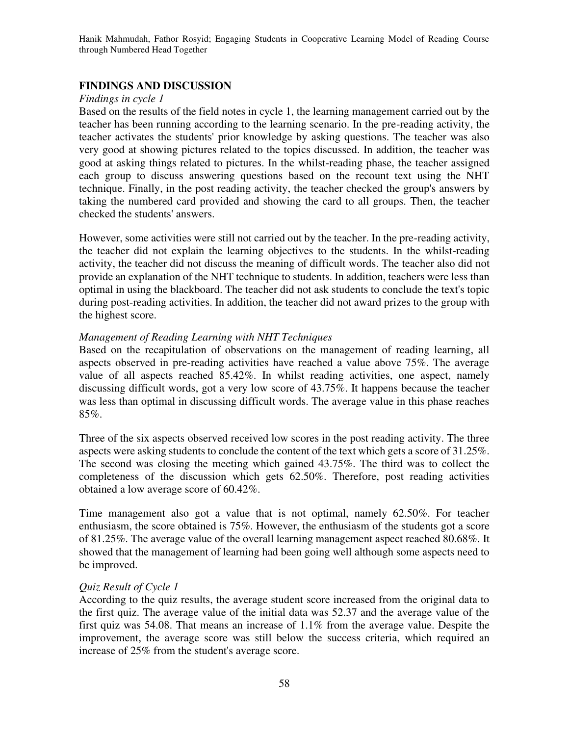## **FINDINGS AND DISCUSSION**

#### *Findings in cycle 1*

Based on the results of the field notes in cycle 1, the learning management carried out by the teacher has been running according to the learning scenario. In the pre-reading activity, the teacher activates the students' prior knowledge by asking questions. The teacher was also very good at showing pictures related to the topics discussed. In addition, the teacher was good at asking things related to pictures. In the whilst-reading phase, the teacher assigned each group to discuss answering questions based on the recount text using the NHT technique. Finally, in the post reading activity, the teacher checked the group's answers by taking the numbered card provided and showing the card to all groups. Then, the teacher checked the students' answers.

However, some activities were still not carried out by the teacher. In the pre-reading activity, the teacher did not explain the learning objectives to the students. In the whilst-reading activity, the teacher did not discuss the meaning of difficult words. The teacher also did not provide an explanation of the NHT technique to students. In addition, teachers were less than optimal in using the blackboard. The teacher did not ask students to conclude the text's topic during post-reading activities. In addition, the teacher did not award prizes to the group with the highest score.

#### *Management of Reading Learning with NHT Techniques*

Based on the recapitulation of observations on the management of reading learning, all aspects observed in pre-reading activities have reached a value above 75%. The average value of all aspects reached 85.42%. In whilst reading activities, one aspect, namely discussing difficult words, got a very low score of 43.75%. It happens because the teacher was less than optimal in discussing difficult words. The average value in this phase reaches 85%.

Three of the six aspects observed received low scores in the post reading activity. The three aspects were asking students to conclude the content of the text which gets a score of 31.25%. The second was closing the meeting which gained 43.75%. The third was to collect the completeness of the discussion which gets 62.50%. Therefore, post reading activities obtained a low average score of 60.42%.

Time management also got a value that is not optimal, namely 62.50%. For teacher enthusiasm, the score obtained is 75%. However, the enthusiasm of the students got a score of 81.25%. The average value of the overall learning management aspect reached 80.68%. It showed that the management of learning had been going well although some aspects need to be improved.

### *Quiz Result of Cycle 1*

According to the quiz results, the average student score increased from the original data to the first quiz. The average value of the initial data was 52.37 and the average value of the first quiz was 54.08. That means an increase of 1.1% from the average value. Despite the improvement, the average score was still below the success criteria, which required an increase of 25% from the student's average score.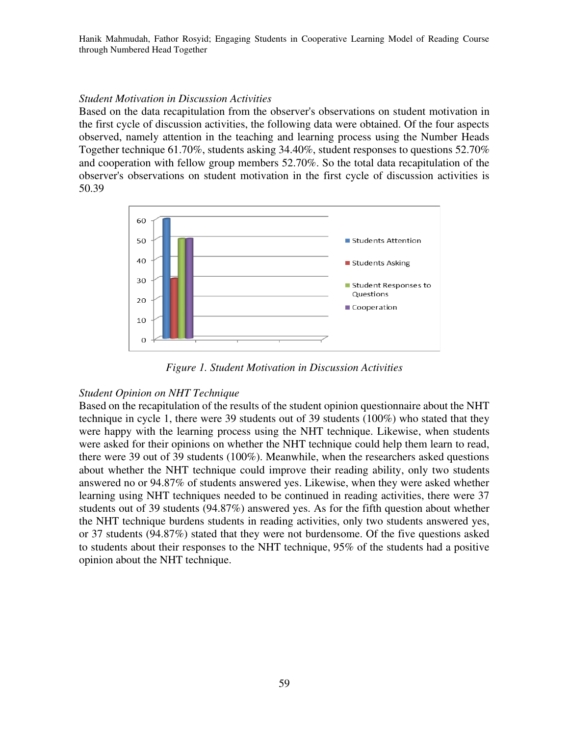#### *Student Motivation in Discussion Activities*

Based on the data recapitulation from the observer's observations on student motivation in the first cycle of discussion activities, the following data were obtained. Of the four aspects observed, namely attention in the teaching and learning process using the Number Heads Together technique 61.70%, students asking 34.40%, student responses to questions 52.70% and cooperation with fellow group members 52.70%. So the total data recapitulation of the observer's observations on student motivation in the first cycle of discussion activities is 50.39



*Figure 1. Student Motivation in Discussion Activities*

### *Student Opinion on NHT Technique*

Based on the recapitulation of the results of the student opinion questionnaire about the NHT technique in cycle 1, there were 39 students out of 39 students (100%) who stated that they were happy with the learning process using the NHT technique. Likewise, when students were asked for their opinions on whether the NHT technique could help them learn to read, there were 39 out of 39 students (100%). Meanwhile, when the researchers asked questions about whether the NHT technique could improve their reading ability, only two students answered no or 94.87% of students answered yes. Likewise, when they were asked whether learning using NHT techniques needed to be continued in reading activities, there were 37 students out of 39 students (94.87%) answered yes. As for the fifth question about whether the NHT technique burdens students in reading activities, only two students answered yes, or 37 students (94.87%) stated that they were not burdensome. Of the five questions asked to students about their responses to the NHT technique, 95% of the students had a positive opinion about the NHT technique.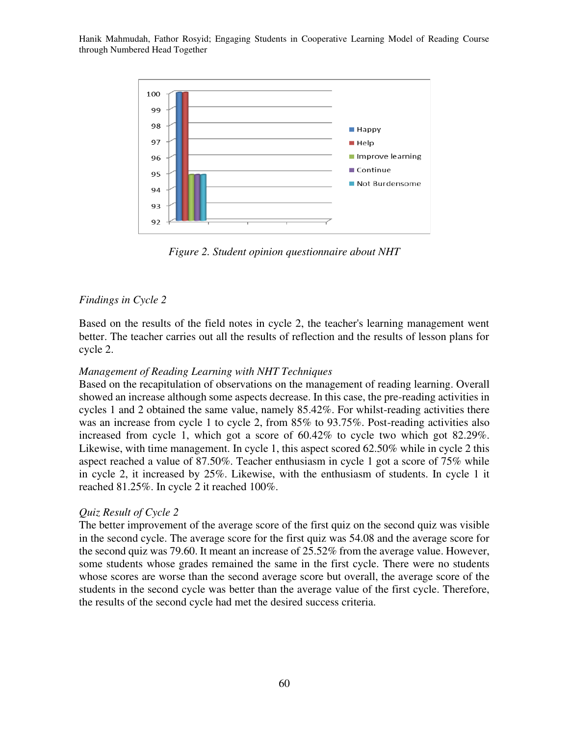

*Figure 2. Student opinion questionnaire about NHT* 

### *Findings in Cycle 2*

Based on the results of the field notes in cycle 2, the teacher's learning management went better. The teacher carries out all the results of reflection and the results of lesson plans for cycle 2.

#### *Management of Reading Learning with NHT Techniques*

Based on the recapitulation of observations on the management of reading learning. Overall showed an increase although some aspects decrease. In this case, the pre-reading activities in cycles 1 and 2 obtained the same value, namely 85.42%. For whilst-reading activities there was an increase from cycle 1 to cycle 2, from 85% to 93.75%. Post-reading activities also increased from cycle 1, which got a score of 60.42% to cycle two which got 82.29%. Likewise, with time management. In cycle 1, this aspect scored 62.50% while in cycle 2 this aspect reached a value of 87.50%. Teacher enthusiasm in cycle 1 got a score of 75% while in cycle 2, it increased by 25%. Likewise, with the enthusiasm of students. In cycle 1 it reached 81.25%. In cycle 2 it reached 100%.

### *Quiz Result of Cycle 2*

The better improvement of the average score of the first quiz on the second quiz was visible in the second cycle. The average score for the first quiz was 54.08 and the average score for the second quiz was 79.60. It meant an increase of 25.52% from the average value. However, some students whose grades remained the same in the first cycle. There were no students whose scores are worse than the second average score but overall, the average score of the students in the second cycle was better than the average value of the first cycle. Therefore, the results of the second cycle had met the desired success criteria.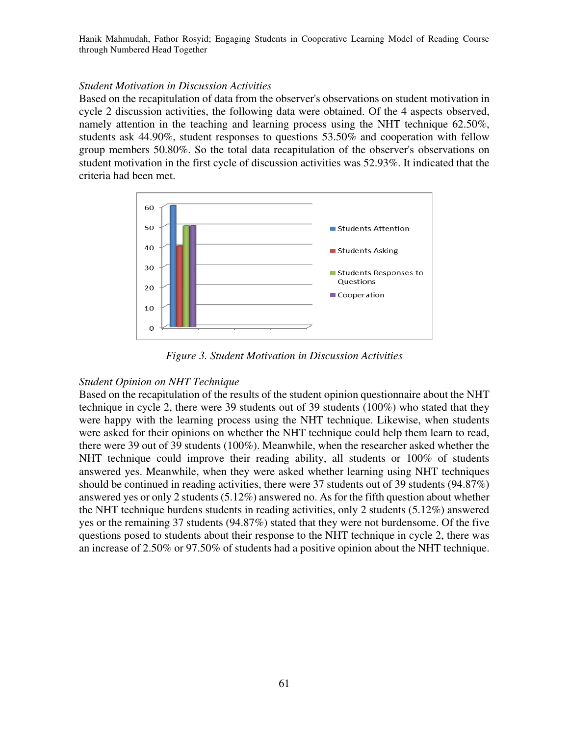#### *Student Motivation in Discussion Activities*

Based on the recapitulation of data from the observer's observations on student motivation in cycle 2 discussion activities, the following data were obtained. Of the 4 aspects observed, namely attention in the teaching and learning process using the NHT technique 62.50%, students ask 44.90%, student responses to questions 53.50% and cooperation with fellow group members 50.80%. So the total data recapitulation of the observer's observations on student motivation in the first cycle of discussion activities was 52.93%. It indicated that the criteria had been met.



*Figure 3. Student Motivation in Discussion Activities*

### *Student Opinion on NHT Technique*

Based on the recapitulation of the results of the student opinion questionnaire about the NHT technique in cycle 2, there were 39 students out of 39 students (100%) who stated that they were happy with the learning process using the NHT technique. Likewise, when students were asked for their opinions on whether the NHT technique could help them learn to read, there were 39 out of 39 students (100%). Meanwhile, when the researcher asked whether the NHT technique could improve their reading ability, all students or 100% of students answered yes. Meanwhile, when they were asked whether learning using NHT techniques should be continued in reading activities, there were 37 students out of 39 students (94.87%) answered yes or only 2 students (5.12%) answered no. As for the fifth question about whether the NHT technique burdens students in reading activities, only 2 students (5.12%) answered yes or the remaining 37 students (94.87%) stated that they were not burdensome. Of the five questions posed to students about their response to the NHT technique in cycle 2, there was an increase of 2.50% or 97.50% of students had a positive opinion about the NHT technique.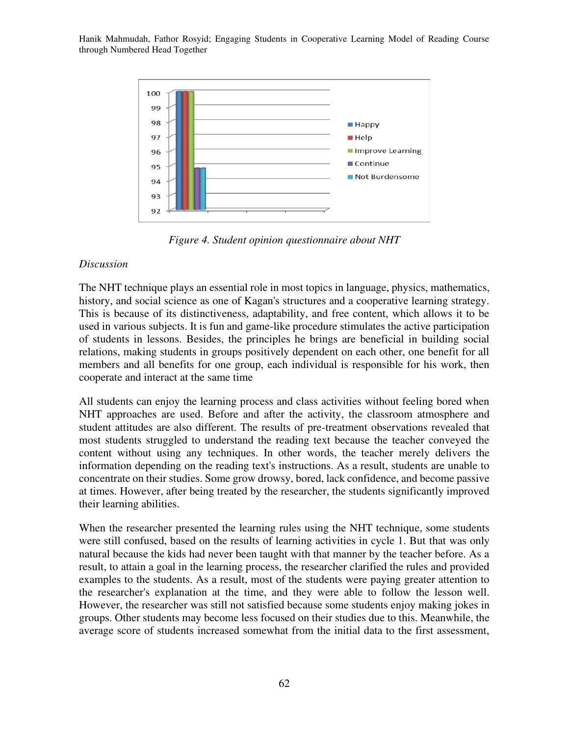

*Figure 4. Student opinion questionnaire about NHT* 

## *Discussion*

The NHT technique plays an essential role in most topics in language, physics, mathematics, history, and social science as one of Kagan's structures and a cooperative learning strategy. This is because of its distinctiveness, adaptability, and free content, which allows it to be used in various subjects. It is fun and game-like procedure stimulates the active participation of students in lessons. Besides, the principles he brings are beneficial in building social relations, making students in groups positively dependent on each other, one benefit for all members and all benefits for one group, each individual is responsible for his work, then cooperate and interact at the same time

All students can enjoy the learning process and class activities without feeling bored when NHT approaches are used. Before and after the activity, the classroom atmosphere and student attitudes are also different. The results of pre-treatment observations revealed that most students struggled to understand the reading text because the teacher conveyed the content without using any techniques. In other words, the teacher merely delivers the information depending on the reading text's instructions. As a result, students are unable to concentrate on their studies. Some grow drowsy, bored, lack confidence, and become passive at times. However, after being treated by the researcher, the students significantly improved their learning abilities.

When the researcher presented the learning rules using the NHT technique, some students were still confused, based on the results of learning activities in cycle 1. But that was only natural because the kids had never been taught with that manner by the teacher before. As a result, to attain a goal in the learning process, the researcher clarified the rules and provided examples to the students. As a result, most of the students were paying greater attention to the researcher's explanation at the time, and they were able to follow the lesson well. However, the researcher was still not satisfied because some students enjoy making jokes in groups. Other students may become less focused on their studies due to this. Meanwhile, the average score of students increased somewhat from the initial data to the first assessment,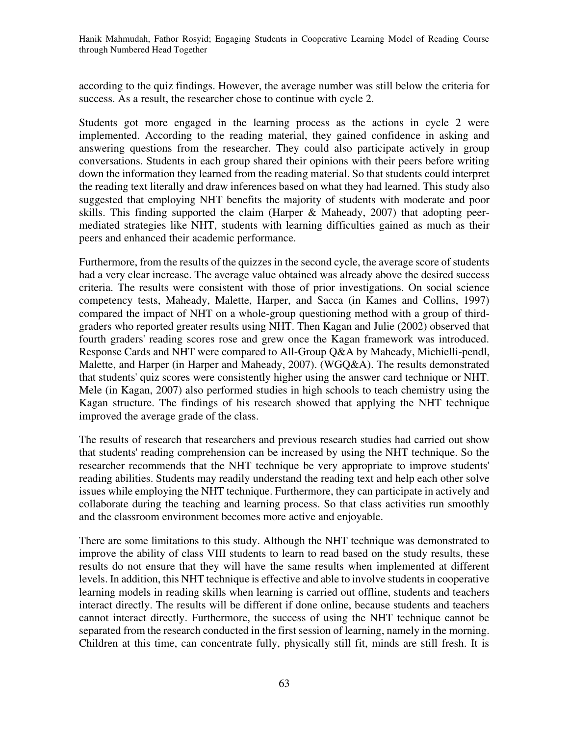according to the quiz findings. However, the average number was still below the criteria for success. As a result, the researcher chose to continue with cycle 2.

Students got more engaged in the learning process as the actions in cycle 2 were implemented. According to the reading material, they gained confidence in asking and answering questions from the researcher. They could also participate actively in group conversations. Students in each group shared their opinions with their peers before writing down the information they learned from the reading material. So that students could interpret the reading text literally and draw inferences based on what they had learned. This study also suggested that employing NHT benefits the majority of students with moderate and poor skills. This finding supported the claim (Harper & Maheady, 2007) that adopting peermediated strategies like NHT, students with learning difficulties gained as much as their peers and enhanced their academic performance.

Furthermore, from the results of the quizzes in the second cycle, the average score of students had a very clear increase. The average value obtained was already above the desired success criteria. The results were consistent with those of prior investigations. On social science competency tests, Maheady, Malette, Harper, and Sacca (in Kames and Collins, 1997) compared the impact of NHT on a whole-group questioning method with a group of thirdgraders who reported greater results using NHT. Then Kagan and Julie (2002) observed that fourth graders' reading scores rose and grew once the Kagan framework was introduced. Response Cards and NHT were compared to All-Group Q&A by Maheady, Michielli-pendl, Malette, and Harper (in Harper and Maheady, 2007). (WGQ&A). The results demonstrated that students' quiz scores were consistently higher using the answer card technique or NHT. Mele (in Kagan, 2007) also performed studies in high schools to teach chemistry using the Kagan structure. The findings of his research showed that applying the NHT technique improved the average grade of the class.

The results of research that researchers and previous research studies had carried out show that students' reading comprehension can be increased by using the NHT technique. So the researcher recommends that the NHT technique be very appropriate to improve students' reading abilities. Students may readily understand the reading text and help each other solve issues while employing the NHT technique. Furthermore, they can participate in actively and collaborate during the teaching and learning process. So that class activities run smoothly and the classroom environment becomes more active and enjoyable.

There are some limitations to this study. Although the NHT technique was demonstrated to improve the ability of class VIII students to learn to read based on the study results, these results do not ensure that they will have the same results when implemented at different levels. In addition, this NHT technique is effective and able to involve students in cooperative learning models in reading skills when learning is carried out offline, students and teachers interact directly. The results will be different if done online, because students and teachers cannot interact directly. Furthermore, the success of using the NHT technique cannot be separated from the research conducted in the first session of learning, namely in the morning. Children at this time, can concentrate fully, physically still fit, minds are still fresh. It is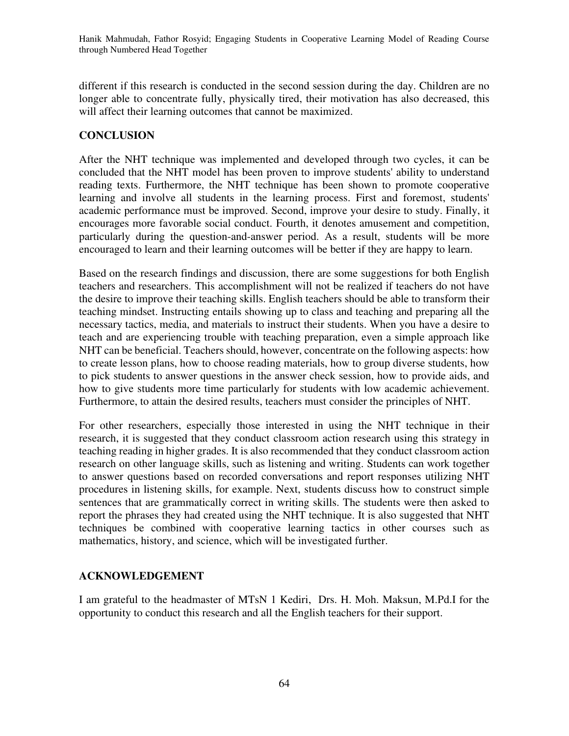different if this research is conducted in the second session during the day. Children are no longer able to concentrate fully, physically tired, their motivation has also decreased, this will affect their learning outcomes that cannot be maximized.

# **CONCLUSION**

After the NHT technique was implemented and developed through two cycles, it can be concluded that the NHT model has been proven to improve students' ability to understand reading texts. Furthermore, the NHT technique has been shown to promote cooperative learning and involve all students in the learning process. First and foremost, students' academic performance must be improved. Second, improve your desire to study. Finally, it encourages more favorable social conduct. Fourth, it denotes amusement and competition, particularly during the question-and-answer period. As a result, students will be more encouraged to learn and their learning outcomes will be better if they are happy to learn.

Based on the research findings and discussion, there are some suggestions for both English teachers and researchers. This accomplishment will not be realized if teachers do not have the desire to improve their teaching skills. English teachers should be able to transform their teaching mindset. Instructing entails showing up to class and teaching and preparing all the necessary tactics, media, and materials to instruct their students. When you have a desire to teach and are experiencing trouble with teaching preparation, even a simple approach like NHT can be beneficial. Teachers should, however, concentrate on the following aspects: how to create lesson plans, how to choose reading materials, how to group diverse students, how to pick students to answer questions in the answer check session, how to provide aids, and how to give students more time particularly for students with low academic achievement. Furthermore, to attain the desired results, teachers must consider the principles of NHT.

For other researchers, especially those interested in using the NHT technique in their research, it is suggested that they conduct classroom action research using this strategy in teaching reading in higher grades. It is also recommended that they conduct classroom action research on other language skills, such as listening and writing. Students can work together to answer questions based on recorded conversations and report responses utilizing NHT procedures in listening skills, for example. Next, students discuss how to construct simple sentences that are grammatically correct in writing skills. The students were then asked to report the phrases they had created using the NHT technique. It is also suggested that NHT techniques be combined with cooperative learning tactics in other courses such as mathematics, history, and science, which will be investigated further.

# **ACKNOWLEDGEMENT**

I am grateful to the headmaster of MTsN 1 Kediri, Drs. H. Moh. Maksun, M.Pd.I for the opportunity to conduct this research and all the English teachers for their support.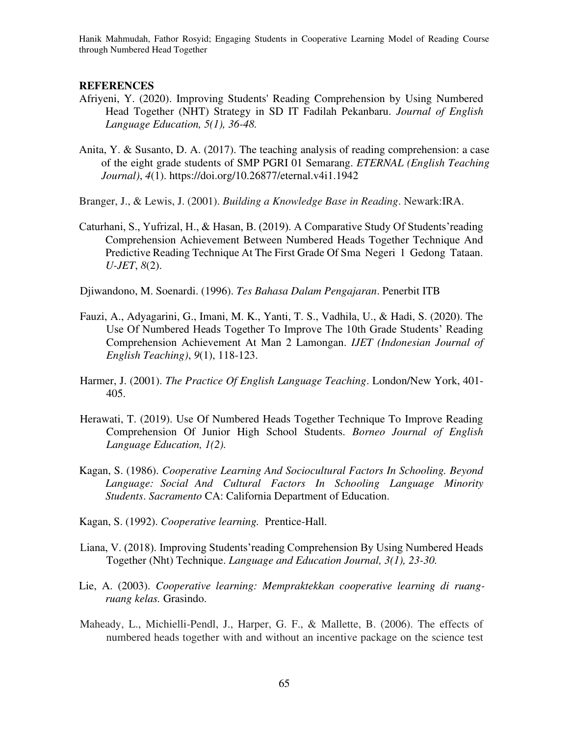#### **REFERENCES**

- Afriyeni, Y. (2020). Improving Students' Reading Comprehension by Using Numbered Head Together (NHT) Strategy in SD IT Fadilah Pekanbaru. *Journal of English Language Education, 5(1), 36-48.*
- Anita, Y. & Susanto, D. A. (2017). The teaching analysis of reading comprehension: a case of the eight grade students of SMP PGRI 01 Semarang. *ETERNAL (English Teaching Journal)*, *4*(1). https://doi.org/10.26877/eternal.v4i1.1942

Branger, J., & Lewis, J. (2001). *Building a Knowledge Base in Reading*. Newark:IRA.

Caturhani, S., Yufrizal, H., & Hasan, B. (2019). A Comparative Study Of Students'reading Comprehension Achievement Between Numbered Heads Together Technique And Predictive Reading Technique At The First Grade Of Sma Negeri 1 Gedong Tataan. *U-JET*, *8*(2).

Djiwandono, M. Soenardi. (1996). *Tes Bahasa Dalam Pengajaran*. Penerbit ITB

- Fauzi, A., Adyagarini, G., Imani, M. K., Yanti, T. S., Vadhila, U., & Hadi, S. (2020). The Use Of Numbered Heads Together To Improve The 10th Grade Students' Reading Comprehension Achievement At Man 2 Lamongan. *IJET (Indonesian Journal of English Teaching)*, *9*(1), 118-123.
- Harmer, J. (2001). *The Practice Of English Language Teaching*. London/New York, 401- 405.
- Herawati, T. (2019). Use Of Numbered Heads Together Technique To Improve Reading Comprehension Of Junior High School Students. *Borneo Journal of English Language Education, 1(2).*
- Kagan, S. (1986). *Cooperative Learning And Sociocultural Factors In Schooling. Beyond Language: Social And Cultural Factors In Schooling Language Minority Students*. *Sacramento* CA: California Department of Education.
- Kagan, S. (1992). *Cooperative learning.* Prentice-Hall.
- Liana, V. (2018). Improving Students'reading Comprehension By Using Numbered Heads Together (Nht) Technique. *Language and Education Journal, 3(1), 23-30.*
- Lie, A. (2003). *Cooperative learning: Mempraktekkan cooperative learning di ruangruang kelas.* Grasindo.
- Maheady, L., Michielli-Pendl, J., Harper, G. F., & Mallette, B. (2006). The effects of numbered heads together with and without an incentive package on the science test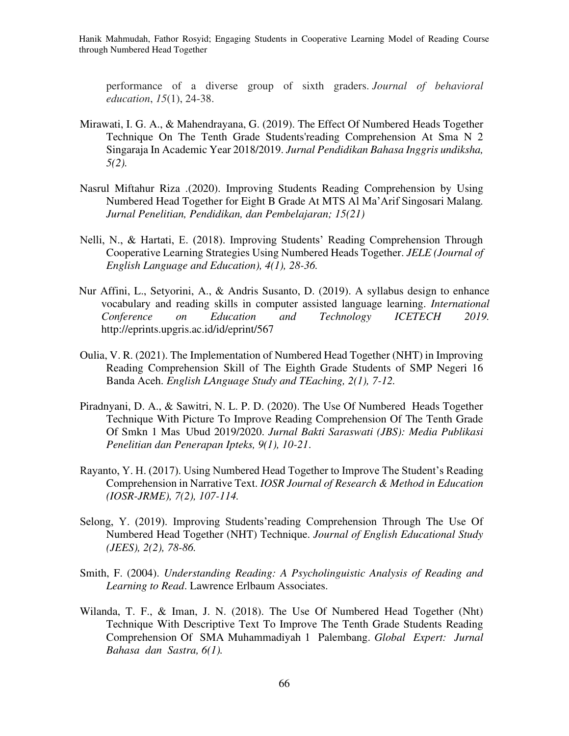performance of a diverse group of sixth graders. *Journal of behavioral education*, *15*(1), 24-38.

- Mirawati, I. G. A., & Mahendrayana, G. (2019). The Effect Of Numbered Heads Together Technique On The Tenth Grade Students'reading Comprehension At Sma N 2 Singaraja In Academic Year 2018/2019. *Jurnal Pendidikan Bahasa Inggris undiksha, 5(2).*
- Nasrul Miftahur Riza .(2020). Improving Students Reading Comprehension by Using Numbered Head Together for Eight B Grade At MTS Al Ma'Arif Singosari Malang*. Jurnal Penelitian, Pendidikan, dan Pembelajaran; 15(21)*
- Nelli, N., & Hartati, E. (2018). Improving Students' Reading Comprehension Through Cooperative Learning Strategies Using Numbered Heads Together. *JELE (Journal of English Language and Education), 4(1), 28-36.*
- Nur Affini, L., Setyorini, A., & Andris Susanto, D. (2019). A syllabus design to enhance vocabulary and reading skills in computer assisted language learning. *International Conference on Education and Technology ICETECH 2019.* http://eprints.upgris.ac.id/id/eprint/567
- Oulia, V. R. (2021). The Implementation of Numbered Head Together (NHT) in Improving Reading Comprehension Skill of The Eighth Grade Students of SMP Negeri 16 Banda Aceh. *English LAnguage Study and TEaching, 2(1), 7-12.*
- Piradnyani, D. A., & Sawitri, N. L. P. D. (2020). The Use Of Numbered Heads Together Technique With Picture To Improve Reading Comprehension Of The Tenth Grade Of Smkn 1 Mas Ubud 2019/2020. *Jurnal Bakti Saraswati (JBS): Media Publikasi Penelitian dan Penerapan Ipteks, 9(1), 10-21*.
- Rayanto, Y. H. (2017). Using Numbered Head Together to Improve The Student's Reading Comprehension in Narrative Text. *IOSR Journal of Research & Method in Education (IOSR-JRME), 7(2), 107-114.*
- Selong, Y. (2019). Improving Students'reading Comprehension Through The Use Of Numbered Head Together (NHT) Technique. *Journal of English Educational Study (JEES), 2(2), 78-86.*
- Smith, F. (2004). *Understanding Reading: A Psycholinguistic Analysis of Reading and Learning to Read*. Lawrence Erlbaum Associates.
- Wilanda, T. F., & Iman, J. N. (2018). The Use Of Numbered Head Together (Nht) Technique With Descriptive Text To Improve The Tenth Grade Students Reading Comprehension Of SMA Muhammadiyah 1 Palembang. *Global Expert: Jurnal Bahasa dan Sastra, 6(1).*